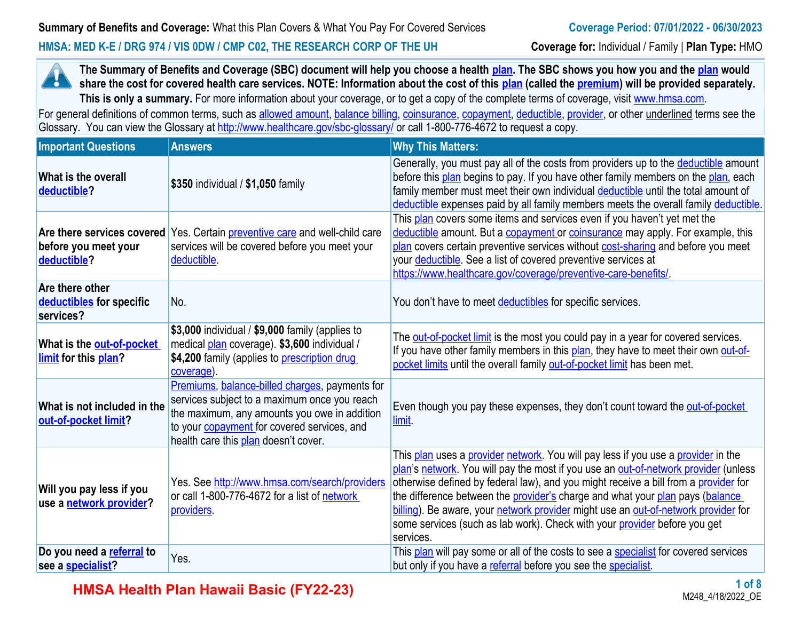#### **HMSA: MED K-E / DRG 974 / VIS 0DW / CMP C02, THE RESEARCH CORP OF THE UH Coverage for:** Individual / Family | **Plan Type:** HMO



**The Summary of Benefits and Coverage (SBC) document will help you choose a health [plan.](https://www.healthcare.gov/sbc-glossary/#plan) The SBC shows you how you and the [plan](https://www.healthcare.gov/sbc-glossary/#plan) would share the cost for covered health care services. NOTE: Information about the cost of this <b>plan** (called the **premium**) will be provided separately. This is only a summary. For more information about your coverage, or to get a copy of the complete terms of coverage, visit [www.hmsa.com](http://www.hmsa.com/).

For general definitions of common terms, such as [allowed amount](https://www.healthcare.gov/sbc-glossary/#allowed-amount), [balance billing,](https://www.healthcare.gov/sbc-glossary/#balance-billing) [coinsurance,](https://www.healthcare.gov/sbc-glossary/#coinsurance) [copayment](https://www.healthcare.gov/sbc-glossary/#copayment), [deductible](https://www.healthcare.gov/sbc-glossary/#deductible), [provider,](https://www.healthcare.gov/sbc-glossary/#provider) or other underlined terms see the Glossary. You can view the Glossary at <http://www.healthcare.gov/sbc-glossary/> or call 1-800-776-4672 to request a copy.

| <b>Important Questions</b>                               | <b>Answers</b>                                                                                                                                                                                                                               | <b>Why This Matters:</b>                                                                                                                                                                                                                                                                                                                                                                                                                                                                                                                       |
|----------------------------------------------------------|----------------------------------------------------------------------------------------------------------------------------------------------------------------------------------------------------------------------------------------------|------------------------------------------------------------------------------------------------------------------------------------------------------------------------------------------------------------------------------------------------------------------------------------------------------------------------------------------------------------------------------------------------------------------------------------------------------------------------------------------------------------------------------------------------|
| What is the overall<br>deductible?                       | \$350 individual / \$1,050 family                                                                                                                                                                                                            | Generally, you must pay all of the costs from providers up to the <b>deductible</b> amount<br>before this plan begins to pay. If you have other family members on the plan, each<br>family member must meet their own individual deductible until the total amount of<br>deductible expenses paid by all family members meets the overall family deductible.                                                                                                                                                                                   |
| before you meet your<br>deductible?                      | Are there services covered Yes. Certain <i>preventive care</i> and well-child care<br>services will be covered before you meet your<br>deductible.                                                                                           | This plan covers some items and services even if you haven't yet met the<br>deductible amount. But a copayment or coinsurance may apply. For example, this<br>plan covers certain preventive services without cost-sharing and before you meet<br>your <b>deductible</b> . See a list of covered preventive services at<br>https://www.healthcare.gov/coverage/preventive-care-benefits/                                                                                                                                                       |
| Are there other<br>deductibles for specific<br>services? | No.                                                                                                                                                                                                                                          | You don't have to meet deductibles for specific services.                                                                                                                                                                                                                                                                                                                                                                                                                                                                                      |
| What is the out-of-pocket<br>limit for this plan?        | \$3,000 individual / \$9,000 family (applies to<br>medical plan coverage). \$3,600 individual /<br>\$4,200 family (applies to <i>prescription drug</i><br>coverage).                                                                         | The <b>out-of-pocket limit</b> is the most you could pay in a year for covered services.<br>If you have other family members in this plan, they have to meet their own out-of-<br>pocket limits until the overall family out-of-pocket limit has been met.                                                                                                                                                                                                                                                                                     |
| What is not included in the<br>out-of-pocket limit?      | Premiums, balance-billed charges, payments for<br>services subject to a maximum once you reach<br>the maximum, any amounts you owe in addition<br>to your <b>copayment</b> for covered services, and<br>health care this plan doesn't cover. | Even though you pay these expenses, they don't count toward the out-of-pocket<br><u>limit</u>                                                                                                                                                                                                                                                                                                                                                                                                                                                  |
| Will you pay less if you<br>use a network provider?      | Yes. See http://www.hmsa.com/search/providers<br>or call 1-800-776-4672 for a list of network<br>providers.                                                                                                                                  | This plan uses a provider network. You will pay less if you use a provider in the<br>plan's network. You will pay the most if you use an out-of-network provider (unless<br>otherwise defined by federal law), and you might receive a bill from a provider for<br>the difference between the <b>provider's</b> charge and what your <b>plan</b> pays (balance<br>billing). Be aware, your network provider might use an out-of-network provider for<br>some services (such as lab work). Check with your provider before you get<br>services. |
| Do you need a referral to<br>see a specialist?           | Yes.                                                                                                                                                                                                                                         | This <b>plan</b> will pay some or all of the costs to see a <b>specialist</b> for covered services<br>but only if you have a referral before you see the specialist.                                                                                                                                                                                                                                                                                                                                                                           |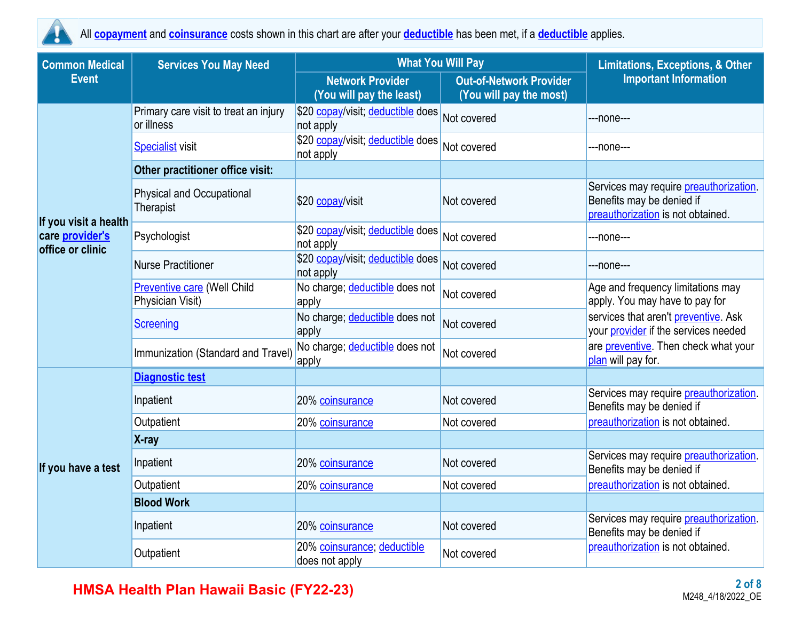

All **copayment** and **coinsurance** costs shown in this chart are after your **deductible** has been met, if a **deductible** applies.

| <b>Common Medical</b>               | <b>Services You May Need</b>                           | <b>What You Will Pay</b>                            | <b>Limitations, Exceptions, &amp; Other</b>               |                                                                                                                  |  |
|-------------------------------------|--------------------------------------------------------|-----------------------------------------------------|-----------------------------------------------------------|------------------------------------------------------------------------------------------------------------------|--|
| <b>Event</b>                        |                                                        | <b>Network Provider</b><br>(You will pay the least) | <b>Out-of-Network Provider</b><br>(You will pay the most) | <b>Important Information</b>                                                                                     |  |
|                                     | Primary care visit to treat an injury<br>or illness    | \$20 copay/visit; deductible does<br>not apply      | Not covered                                               | ---none---                                                                                                       |  |
|                                     | <b>Specialist visit</b>                                | \$20 copay/visit; deductible does<br>not apply      | Not covered                                               | ---none---                                                                                                       |  |
|                                     | Other practitioner office visit:                       |                                                     |                                                           |                                                                                                                  |  |
| If you visit a health               | <b>Physical and Occupational</b><br>Therapist          | \$20 copay/visit                                    | Not covered                                               | Services may require <i>preauthorization</i> .<br>Benefits may be denied if<br>preauthorization is not obtained. |  |
| care provider's<br>office or clinic | Psychologist                                           | \$20 copay/visit; deductible does<br>not apply      | Not covered                                               | ---none---                                                                                                       |  |
|                                     | <b>Nurse Practitioner</b>                              | \$20 copay/visit; deductible does<br>not apply      | Not covered                                               | ---none---                                                                                                       |  |
|                                     | <b>Preventive care (Well Child</b><br>Physician Visit) | No charge; deductible does not<br>apply             | Not covered                                               | Age and frequency limitations may<br>apply. You may have to pay for                                              |  |
|                                     | <b>Screening</b>                                       | No charge; deductible does not<br>apply             | Not covered                                               | services that aren't preventive. Ask<br>your provider if the services needed                                     |  |
|                                     | Immunization (Standard and Travel)                     | No charge; deductible does not<br>apply             | Not covered                                               | are preventive. Then check what your<br>plan will pay for.                                                       |  |
|                                     | <b>Diagnostic test</b>                                 |                                                     |                                                           |                                                                                                                  |  |
|                                     | Inpatient                                              | 20% coinsurance                                     | Not covered                                               | Services may require preauthorization.<br>Benefits may be denied if                                              |  |
|                                     | Outpatient                                             | 20% coinsurance                                     | Not covered                                               | preauthorization is not obtained.                                                                                |  |
|                                     | X-ray                                                  |                                                     |                                                           |                                                                                                                  |  |
| If you have a test                  | Inpatient                                              | 20% coinsurance                                     | Not covered                                               | Services may require preauthorization.<br>Benefits may be denied if                                              |  |
|                                     | Outpatient                                             | 20% coinsurance                                     | Not covered                                               | preauthorization is not obtained.                                                                                |  |
|                                     | <b>Blood Work</b>                                      |                                                     |                                                           |                                                                                                                  |  |
|                                     | Inpatient                                              | 20% coinsurance                                     | Not covered                                               | Services may require preauthorization.<br>Benefits may be denied if                                              |  |
|                                     | Outpatient                                             | 20% coinsurance; deductible<br>does not apply       | Not covered                                               | preauthorization is not obtained.                                                                                |  |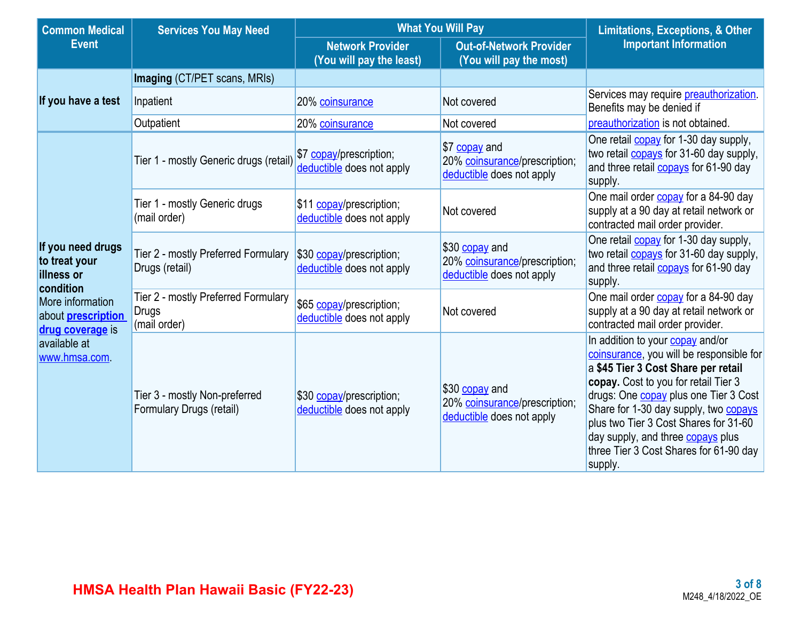| <b>Common Medical</b><br><b>Services You May Need</b>             |                                                                     | <b>What You Will Pay</b>                              | <b>Limitations, Exceptions, &amp; Other</b>                                  |                                                                                                                                                                                                                                                                                                                                                                                                       |
|-------------------------------------------------------------------|---------------------------------------------------------------------|-------------------------------------------------------|------------------------------------------------------------------------------|-------------------------------------------------------------------------------------------------------------------------------------------------------------------------------------------------------------------------------------------------------------------------------------------------------------------------------------------------------------------------------------------------------|
| <b>Event</b>                                                      |                                                                     | <b>Network Provider</b><br>(You will pay the least)   | <b>Out-of-Network Provider</b><br>(You will pay the most)                    | <b>Important Information</b>                                                                                                                                                                                                                                                                                                                                                                          |
|                                                                   | Imaging (CT/PET scans, MRIs)                                        |                                                       |                                                                              |                                                                                                                                                                                                                                                                                                                                                                                                       |
| If you have a test                                                | Inpatient                                                           | 20% coinsurance                                       | Not covered                                                                  | Services may require <i>preauthorization</i> .<br>Benefits may be denied if                                                                                                                                                                                                                                                                                                                           |
|                                                                   | Outpatient                                                          | 20% coinsurance                                       | Not covered                                                                  | preauthorization is not obtained.                                                                                                                                                                                                                                                                                                                                                                     |
|                                                                   | Tier 1 - mostly Generic drugs (retail)                              | \$7 copay/prescription;<br>deductible does not apply  | \$7 copay and<br>20% coinsurance/prescription;<br>deductible does not apply  | One retail <b>copay</b> for 1-30 day supply,<br>two retail <b>copays</b> for 31-60 day supply,<br>and three retail <b>copays</b> for 61-90 day<br>supply.                                                                                                                                                                                                                                             |
|                                                                   | Tier 1 - mostly Generic drugs<br>(mail order)                       | \$11 copay/prescription;<br>deductible does not apply | Not covered                                                                  | One mail order <b>copay</b> for a 84-90 day<br>supply at a 90 day at retail network or<br>contracted mail order provider.                                                                                                                                                                                                                                                                             |
| If you need drugs<br>to treat your<br>illness or<br>condition     | Tier 2 - mostly Preferred Formulary<br>Drugs (retail)               | \$30 copay/prescription;<br>deductible does not apply | \$30 copay and<br>20% coinsurance/prescription;<br>deductible does not apply | One retail <b>copay</b> for 1-30 day supply,<br>two retail <b>copays</b> for 31-60 day supply,<br>and three retail <b>copays</b> for 61-90 day<br>supply.                                                                                                                                                                                                                                             |
| More information<br>about <b>prescription</b><br>drug coverage is | Tier 2 - mostly Preferred Formulary<br><b>Drugs</b><br>(mail order) | \$65 copay/prescription;<br>deductible does not apply | Not covered                                                                  | One mail order copay for a 84-90 day<br>supply at a 90 day at retail network or<br>contracted mail order provider.                                                                                                                                                                                                                                                                                    |
| available at<br>www.hmsa.com                                      | Tier 3 - mostly Non-preferred<br>Formulary Drugs (retail)           | \$30 copay/prescription;<br>deductible does not apply | \$30 copay and<br>20% coinsurance/prescription;<br>deductible does not apply | In addition to your copay and/or<br>coinsurance, you will be responsible for<br>a \$45 Tier 3 Cost Share per retail<br>copay. Cost to you for retail Tier 3<br>drugs: One <b>copay</b> plus one Tier 3 Cost<br>Share for 1-30 day supply, two <b>copays</b><br>plus two Tier 3 Cost Shares for 31-60<br>day supply, and three <b>copays</b> plus<br>three Tier 3 Cost Shares for 61-90 day<br>supply. |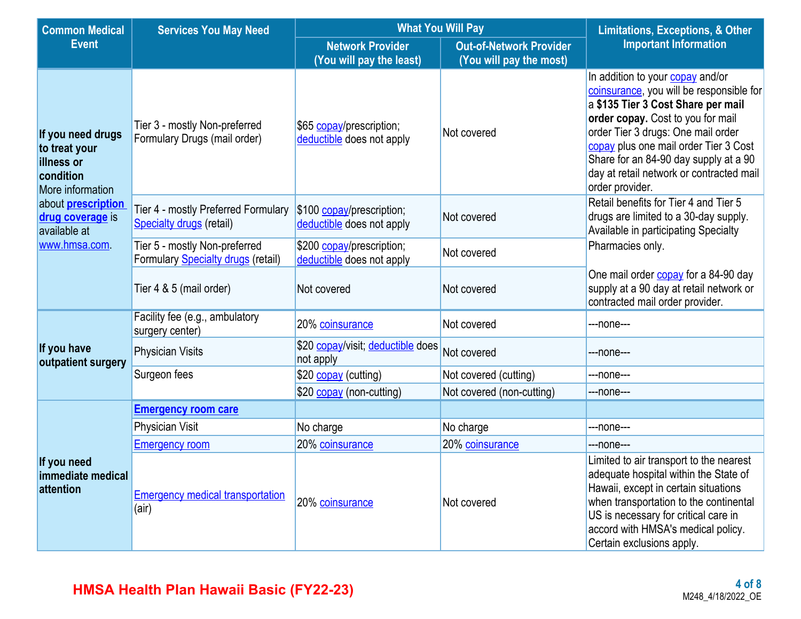| <b>Common Medical</b>                                                             | <b>Services You May Need</b>                                                                                                  | <b>What You Will Pay</b>                               | <b>Limitations, Exceptions, &amp; Other</b>               |                                                                                                                                                                                                                                                                                                                                                |  |
|-----------------------------------------------------------------------------------|-------------------------------------------------------------------------------------------------------------------------------|--------------------------------------------------------|-----------------------------------------------------------|------------------------------------------------------------------------------------------------------------------------------------------------------------------------------------------------------------------------------------------------------------------------------------------------------------------------------------------------|--|
| <b>Event</b>                                                                      |                                                                                                                               | <b>Network Provider</b><br>(You will pay the least)    | <b>Out-of-Network Provider</b><br>(You will pay the most) | <b>Important Information</b>                                                                                                                                                                                                                                                                                                                   |  |
| If you need drugs<br>to treat your<br>illness or<br>condition<br>More information | Tier 3 - mostly Non-preferred<br>Formulary Drugs (mail order)                                                                 | \$65 copay/prescription;<br>deductible does not apply  | Not covered                                               | In addition to your copay and/or<br>coinsurance, you will be responsible for<br>a \$135 Tier 3 Cost Share per mail<br>order copay. Cost to you for mail<br>order Tier 3 drugs: One mail order<br>copay plus one mail order Tier 3 Cost<br>Share for an 84-90 day supply at a 90<br>day at retail network or contracted mail<br>order provider. |  |
| about <b>prescription</b><br>drug coverage is<br>available at                     | Tier 4 - mostly Preferred Formulary<br>Specialty drugs (retail)                                                               | \$100 copay/prescription;<br>deductible does not apply | Not covered                                               | Retail benefits for Tier 4 and Tier 5<br>drugs are limited to a 30-day supply.<br>Available in participating Specialty                                                                                                                                                                                                                         |  |
| www.hmsa.com.                                                                     | Tier 5 - mostly Non-preferred<br>\$200 copay/prescription;<br>Formulary Specialty drugs (retail)<br>deductible does not apply |                                                        | Not covered                                               | Pharmacies only.                                                                                                                                                                                                                                                                                                                               |  |
|                                                                                   | Tier 4 & 5 (mail order)                                                                                                       | Not covered                                            | Not covered                                               | One mail order <b>copay</b> for a 84-90 day<br>supply at a 90 day at retail network or<br>contracted mail order provider.                                                                                                                                                                                                                      |  |
|                                                                                   | Facility fee (e.g., ambulatory<br>surgery center)                                                                             | 20% coinsurance                                        | Not covered                                               | ---none---                                                                                                                                                                                                                                                                                                                                     |  |
| If you have<br>outpatient surgery                                                 | <b>Physician Visits</b>                                                                                                       | \$20 copay/visit; deductible does<br>not apply         | Not covered                                               | ---none---                                                                                                                                                                                                                                                                                                                                     |  |
|                                                                                   | Surgeon fees                                                                                                                  | \$20 copay (cutting)                                   | Not covered (cutting)                                     | ---none---                                                                                                                                                                                                                                                                                                                                     |  |
|                                                                                   |                                                                                                                               | \$20 copay (non-cutting)                               | Not covered (non-cutting)                                 | ---none---                                                                                                                                                                                                                                                                                                                                     |  |
|                                                                                   | <b>Emergency room care</b>                                                                                                    |                                                        |                                                           |                                                                                                                                                                                                                                                                                                                                                |  |
|                                                                                   | <b>Physician Visit</b>                                                                                                        | No charge                                              | No charge                                                 | ---none---                                                                                                                                                                                                                                                                                                                                     |  |
|                                                                                   | <b>Emergency room</b>                                                                                                         | 20% coinsurance                                        | 20% coinsurance                                           | ---none---                                                                                                                                                                                                                                                                                                                                     |  |
| If you need<br>immediate medical<br><b>attention</b>                              | <b>Emergency medical transportation</b><br>(air)                                                                              | 20% coinsurance                                        | Not covered                                               | Limited to air transport to the nearest<br>adequate hospital within the State of<br>Hawaii, except in certain situations<br>when transportation to the continental<br>US is necessary for critical care in<br>accord with HMSA's medical policy.<br>Certain exclusions apply.                                                                  |  |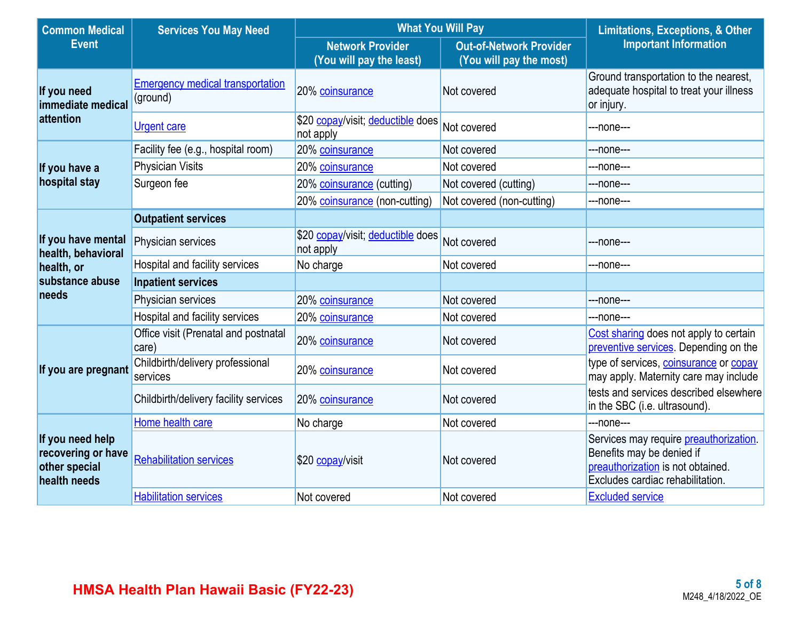| <b>Common Medical</b>                                                   | <b>Services You May Need</b>                        | <b>What You Will Pay</b>                            | <b>Limitations, Exceptions, &amp; Other</b>               |                                                                                                                                              |
|-------------------------------------------------------------------------|-----------------------------------------------------|-----------------------------------------------------|-----------------------------------------------------------|----------------------------------------------------------------------------------------------------------------------------------------------|
| <b>Event</b>                                                            |                                                     | <b>Network Provider</b><br>(You will pay the least) | <b>Out-of-Network Provider</b><br>(You will pay the most) | <b>Important Information</b>                                                                                                                 |
| If you need<br>immediate medical                                        | <b>Emergency medical transportation</b><br>(ground) | 20% coinsurance                                     | Not covered                                               | Ground transportation to the nearest,<br>adequate hospital to treat your illness<br>or injury.                                               |
| attention                                                               | <b>Urgent care</b>                                  | \$20 copay/visit; deductible does<br>not apply      | Not covered                                               | ---none---                                                                                                                                   |
|                                                                         | Facility fee (e.g., hospital room)                  | 20% coinsurance                                     | Not covered                                               | ---none---                                                                                                                                   |
| If you have a                                                           | <b>Physician Visits</b>                             | 20% coinsurance                                     | Not covered                                               | ---none---                                                                                                                                   |
| hospital stay                                                           | Surgeon fee                                         | 20% coinsurance (cutting)                           | Not covered (cutting)                                     | ---none---                                                                                                                                   |
|                                                                         |                                                     | 20% coinsurance (non-cutting)                       | Not covered (non-cutting)                                 | ---none---                                                                                                                                   |
|                                                                         | <b>Outpatient services</b>                          |                                                     |                                                           |                                                                                                                                              |
| If you have mental<br>health, behavioral                                | <b>Physician services</b>                           | \$20 copay/visit; deductible does<br>not apply      | Not covered                                               | ---none---                                                                                                                                   |
| health, or                                                              | Hospital and facility services                      | No charge                                           | Not covered                                               | ---none---                                                                                                                                   |
| substance abuse                                                         | <b>Inpatient services</b>                           |                                                     |                                                           |                                                                                                                                              |
| needs                                                                   | Physician services                                  | 20% coinsurance                                     | Not covered                                               | ---none---                                                                                                                                   |
|                                                                         | Hospital and facility services                      | 20% coinsurance                                     | Not covered                                               | ---none---                                                                                                                                   |
|                                                                         | Office visit (Prenatal and postnatal<br>care)       | 20% coinsurance                                     | Not covered                                               | Cost sharing does not apply to certain<br>preventive services. Depending on the                                                              |
| If you are pregnant                                                     | Childbirth/delivery professional<br>services        | 20% coinsurance                                     | Not covered                                               | type of services, coinsurance or copay<br>may apply. Maternity care may include                                                              |
|                                                                         | Childbirth/delivery facility services               | 20% coinsurance                                     | Not covered                                               | tests and services described elsewhere<br>in the SBC (i.e. ultrasound).                                                                      |
|                                                                         | Home health care                                    | No charge                                           | Not covered                                               | ---none---                                                                                                                                   |
| If you need help<br>recovering or have<br>other special<br>health needs | <b>Rehabilitation services</b>                      | \$20 copay/visit                                    | Not covered                                               | Services may require preauthorization.<br>Benefits may be denied if<br>preauthorization is not obtained.<br>Excludes cardiac rehabilitation. |
|                                                                         | <b>Habilitation services</b>                        | Not covered                                         | Not covered                                               | <b>Excluded service</b>                                                                                                                      |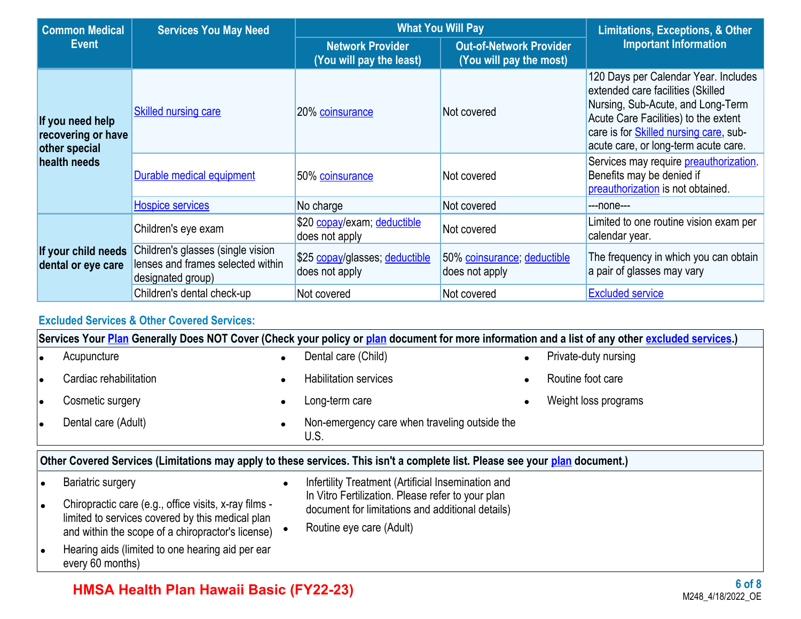| <b>Common Medical</b>                                   | <b>Services You May Need</b>                                                                | <b>What You Will Pay</b>                            | <b>Limitations, Exceptions, &amp; Other</b>               |                                                                                                                                                                                                                                                  |  |
|---------------------------------------------------------|---------------------------------------------------------------------------------------------|-----------------------------------------------------|-----------------------------------------------------------|--------------------------------------------------------------------------------------------------------------------------------------------------------------------------------------------------------------------------------------------------|--|
| <b>Event</b>                                            |                                                                                             | <b>Network Provider</b><br>(You will pay the least) | <b>Out-of-Network Provider</b><br>(You will pay the most) | <b>Important Information</b>                                                                                                                                                                                                                     |  |
| If you need help<br>recovering or have<br>other special | <b>Skilled nursing care</b>                                                                 | 20% coinsurance                                     | Not covered                                               | 120 Days per Calendar Year. Includes<br>extended care facilities (Skilled<br>Nursing, Sub-Acute, and Long-Term<br>Acute Care Facilities) to the extent<br>care is for <b>Skilled nursing care</b> , sub-<br>acute care, or long-term acute care. |  |
| health needs                                            | <b>Durable medical equipment</b>                                                            | 50% coinsurance                                     | Not covered                                               | Services may require preauthorization.<br>Benefits may be denied if<br>preauthorization is not obtained.                                                                                                                                         |  |
|                                                         | <b>Hospice services</b>                                                                     | No charge                                           | Not covered                                               | ---none---                                                                                                                                                                                                                                       |  |
|                                                         | Children's eye exam                                                                         | \$20 copay/exam; deductible<br>does not apply       | Not covered                                               | Limited to one routine vision exam per<br>calendar year.                                                                                                                                                                                         |  |
| If your child needs<br>dental or eye care               | Children's glasses (single vision<br>lenses and frames selected within<br>designated group) | \$25 copay/glasses; deductible<br>does not apply    | 50% coinsurance; deductible<br>does not apply             | The frequency in which you can obtain<br>a pair of glasses may vary                                                                                                                                                                              |  |
|                                                         | Children's dental check-up                                                                  | Not covered                                         | Not covered                                               | <b>Excluded service</b>                                                                                                                                                                                                                          |  |

### **Excluded Services & Other Covered Services:**

|           | Services Your Plan Generally Does NOT Cover (Check your policy or plan document for more information and a list of any other excluded services.) |           |                                                                                                                              |  |                      |  |  |
|-----------|--------------------------------------------------------------------------------------------------------------------------------------------------|-----------|------------------------------------------------------------------------------------------------------------------------------|--|----------------------|--|--|
|           | Acupuncture                                                                                                                                      | $\bullet$ | Dental care (Child)                                                                                                          |  | Private-duty nursing |  |  |
| $\bullet$ | Cardiac rehabilitation                                                                                                                           |           | <b>Habilitation services</b>                                                                                                 |  | Routine foot care    |  |  |
| $\bullet$ | Cosmetic surgery                                                                                                                                 |           | Long-term care                                                                                                               |  | Weight loss programs |  |  |
|           | Dental care (Adult)                                                                                                                              |           | Non-emergency care when traveling outside the<br>U.S.                                                                        |  |                      |  |  |
|           |                                                                                                                                                  |           | Other Covered Services (Limitations may apply to these services. This isn't a complete list. Please see your plan document.) |  |                      |  |  |
|           | Bariatric surgery                                                                                                                                |           | Infertility Treatment (Artificial Insemination and                                                                           |  |                      |  |  |
| $\bullet$ | Chiropractic care (e.g., office visits, x-ray films -<br>limited to services covered by this medical plan                                        |           | In Vitro Fertilization. Please refer to your plan<br>document for limitations and additional details)                        |  |                      |  |  |
|           | and within the scope of a chiropractor's license)                                                                                                |           | Routine eye care (Adult)                                                                                                     |  |                      |  |  |
|           | Hearing aids (limited to one hearing aid per ear<br>every 60 months)                                                                             |           |                                                                                                                              |  |                      |  |  |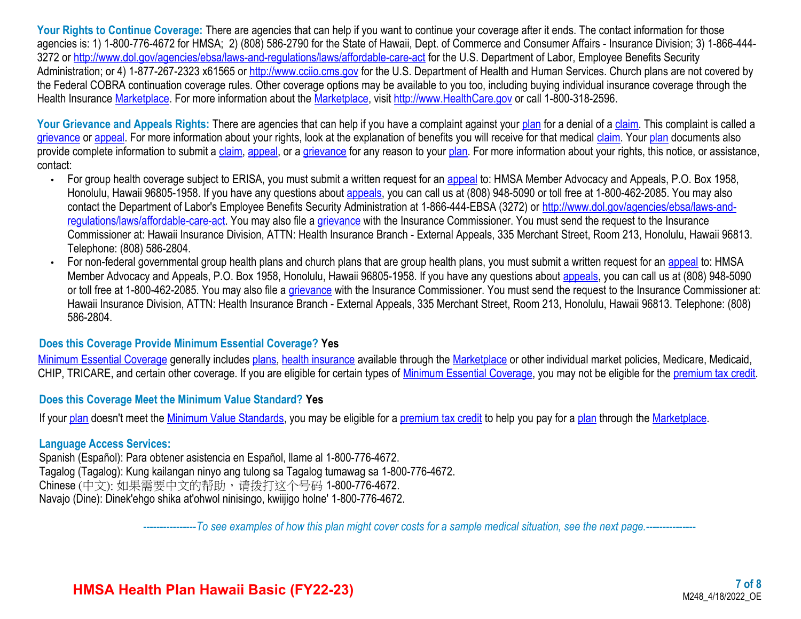Your Rights to Continue Coverage: There are agencies that can help if you want to continue your coverage after it ends. The contact information for those agencies is: 1) 1-800-776-4672 for HMSA; 2) (808) 586-2790 for the State of Hawaii, Dept. of Commerce and Consumer Affairs - Insurance Division; 3) 1-866-444 3272 or <http://www.dol.gov/agencies/ebsa/laws-and-regulations/laws/affordable-care-act>for the U.S. Department of Labor, Employee Benefits Security Administration; or 4) 1-877-267-2323 x61565 or [http://www.cciio.cms.gov](http://www.cciio.cms.gov/) for the U.S. Department of Health and Human Services. Church plans are not covered by the Federal COBRA continuation coverage rules. Other coverage options may be available to you too, including buying individual insurance coverage through the Health Insurance [Marketplace](https://www.healthcare.gov/sbc-glossary/#marketplace). For more information about the Marketplace, visit [http://www.HealthCare.gov](http://www.healthcare.gov/) or call 1-800-318-2596.

Your Grievance and Appeals Rights: There are agencies that can help if you have a complaint against your [plan](https://www.healthcare.gov/sbc-glossary/#plan) for a denial of a [claim](https://www.healthcare.gov/sbc-glossary/#claim). This complaint is called a [grievance](https://www.healthcare.gov/sbc-glossary/#grievance) or [appeal](https://www.healthcare.gov/sbc-glossary/#appeal). For more information about your rights, look at the explanation of benefits you will receive for that medical [claim](https://www.healthcare.gov/sbc-glossary/#claim). Your [plan](https://www.healthcare.gov/sbc-glossary/#plan) documents also provide complete information to submit a [claim,](https://www.healthcare.gov/sbc-glossary/#claim) [appeal,](https://www.healthcare.gov/sbc-glossary/#appeal) or a [grievance](https://www.healthcare.gov/sbc-glossary/#grievance) for any reason to your [plan](https://www.healthcare.gov/sbc-glossary/#plan). For more information about your rights, this notice, or assistance, contact:

- For group health coverage subject to ERISA, you must submit a written request for an [appeal](https://www.healthcare.gov/sbc-glossary/#appeal) to: HMSA Member Advocacy and Appeals, P.O. Box 1958, Honolulu, Hawaii 96805-1958. If you have any questions about **[appeals](https://www.healthcare.gov/sbc-glossary/#appeal)**, you can call us at (808) 948-5090 or toll free at 1-800-462-2085. You may also contact the Department of Labor's Employee Benefits Security Administration at 1-866-444-EBSA (3272) or [http://www.dol.gov/agencies/ebsa/laws-and](http://www.dol.gov/agencies/ebsa/laws-and-regulations/laws/affordable-care-act)[regulations/laws/affordable-care-act.](http://www.dol.gov/agencies/ebsa/laws-and-regulations/laws/affordable-care-act) You may also file a [grievance](https://www.healthcare.gov/sbc-glossary/#grievance) with the Insurance Commissioner. You must send the request to the Insurance Commissioner at: Hawaii Insurance Division, ATTN: Health Insurance Branch - External Appeals, 335 Merchant Street, Room 213, Honolulu, Hawaii 96813. Telephone: (808) 586-2804.
- For non-federal governmental group health plans and church plans that are group health plans, you must submit a written request for an [appeal](https://www.healthcare.gov/sbc-glossary/#appeal) to: HMSA Member Advocacy and Appeals, P.O. Box 1958, Honolulu, Hawaii 96805-1958. If you have any questions about [appeals](https://www.healthcare.gov/sbc-glossary/#appeal), you can call us at (808) 948-5090 or toll free at 1-800-462-2085. You may also file a [grievance](https://www.healthcare.gov/sbc-glossary/#grievance) with the Insurance Commissioner. You must send the request to the Insurance Commissioner at: Hawaii Insurance Division, ATTN: Health Insurance Branch - External Appeals, 335 Merchant Street, Room 213, Honolulu, Hawaii 96813. Telephone: (808) 586-2804.

#### **Does this Coverage Provide Minimum Essential Coverage? Yes**

[Minimum Essential Coverage](https://www.healthcare.gov/sbc-glossary/#minimum-essential-coverage) generally includes [plans](https://www.healthcare.gov/sbc-glossary/#plan), [health insurance](https://www.healthcare.gov/sbc-glossary/#health-insurance) available through the [Marketplace](https://www.healthcare.gov/sbc-glossary/#marketplace) or other individual market policies, Medicare, Medicaid, CHIP, TRICARE, and certain other coverage. If you are eligible for certain types of [Minimum Essential Coverage](https://www.healthcare.gov/sbc-glossary/#minimum-essential-coverage), you may not be eligible for the [premium tax credit.](https://www.healthcare.gov/sbc-glossary/#premium-tax-credits)

#### **Does this Coverage Meet the Minimum Value Standard? Yes**

If your [plan](https://www.healthcare.gov/sbc-glossary/#plan) doesn't meet the [Minimum Value Standards,](https://www.healthcare.gov/sbc-glossary/#minimum-value-standard) you may be eligible for a [premium tax credit](https://www.healthcare.gov/sbc-glossary/#premium-tax-credits) to help you pay for a [plan](https://www.healthcare.gov/sbc-glossary/#plan) through the [Marketplace.](https://www.healthcare.gov/sbc-glossary/#marketplace)

#### **Language Access Services:**

Spanish (Español): Para obtener asistencia en Español, llame al 1-800-776-4672. Tagalog (Tagalog): Kung kailangan ninyo ang tulong sa Tagalog tumawag sa 1-800-776-4672. Chinese (中文): 如果需要中文的帮助, 请拨打这个号码 1-800-776-4672. Navajo (Dine): Dinek'ehgo shika at'ohwol ninisingo, kwiijigo holne' 1-800-776-4672.

----------------*To see examples of how this plan might cover costs for a sample medical situation, see the next page.-----------*----